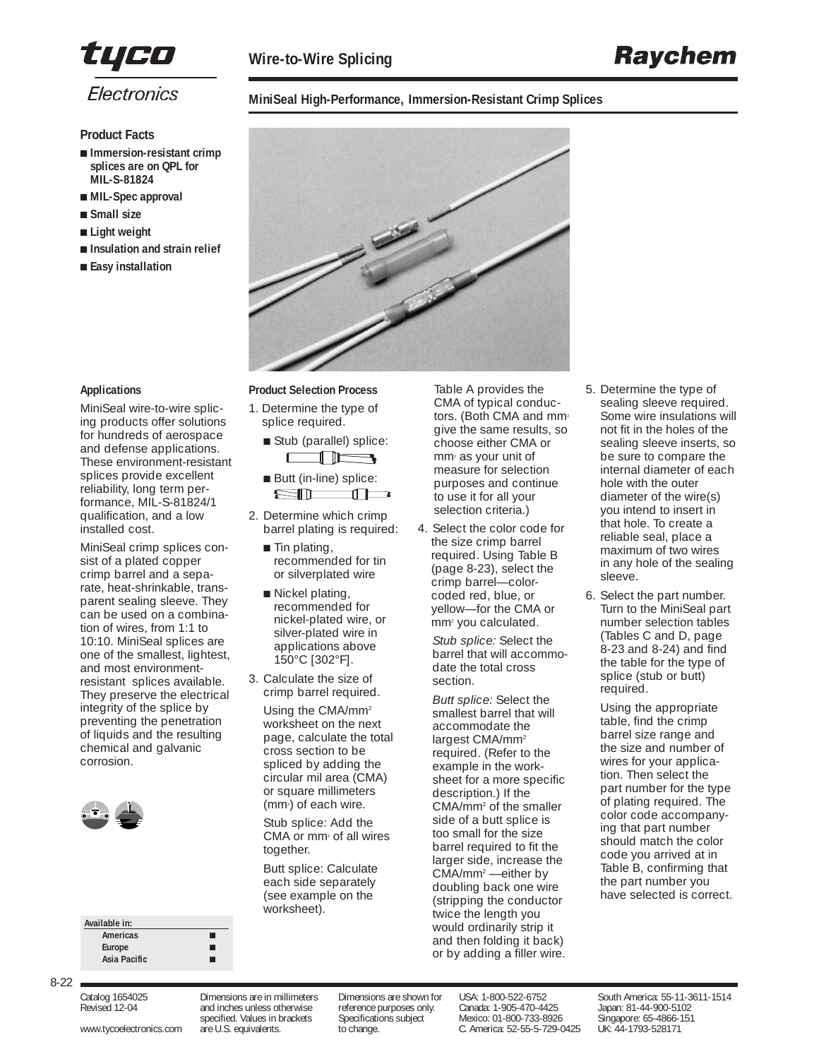

#### **Product Facts**

- **Immersion-resistant crimp splices are on QPL for MIL-S-81824**
- **MIL-Spec approval**
- **Small size**
- Light weight
- **Insulation and strain relief**
- **Easy installation**

#### **Applications** MiniSeal wire-to-wire splicing products offer solutions for hundreds of aerospace and defense applications. These environment-resistant splices provide excellent reliability, long term performance, MIL-S-81824/1 qualification, and a low installed cost.

MiniSeal crimp splices consist of a plated copper crimp barrel and a separate, heat-shrinkable, transparent sealing sleeve. They can be used on a combination of wires, from 1:1 to 10:10. MiniSeal splices are one of the smallest, lightest, and most environmentresistant splices available. They preserve the electrical integrity of the splice by preventing the penetration of liquids and the resulting chemical and galvanic corrosion.



# **Available in:**

| Americas     |  |
|--------------|--|
| Europe       |  |
| Asia Pacific |  |
|              |  |

## **MiniSeal High-Performance, Immersion-Resistant Crimp Splices**



### **Product Selection Process**

1. Determine the type of splice required.

> ■ Stub (parallel) splice:  $\Box$



- 2. Determine which crimp barrel plating is required:
	- Tin plating, recommended for tin or silverplated wire
	- Nickel plating, recommended for nickel-plated wire, or silver-plated wire in applications above 150°C [302°F].
- 3. Calculate the size of crimp barrel required.

Using the CMA/mm<sup>2</sup> worksheet on the next page, calculate the total cross section to be spliced by adding the circular mil area (CMA) or square millimeters (mm2 ) of each wire.

Stub splice: Add the CMA or mm<sup>2</sup> of all wires together.

Butt splice: Calculate each side separately (see example on the worksheet).

Table A provides the CMA of typical conductors. (Both CMA and mm<sup>2</sup> give the same results, so choose either CMA or mm2 as your unit of measure for selection purposes and continue to use it for all your selection criteria.)

4. Select the color code for the size crimp barrel required. Using Table B (page 8-23), select the crimp barrel—colorcoded red, blue, or yellow—for the CMA or mm2 you calculated.

*Stub splice:* Select the barrel that will accommodate the total cross section.

*Butt splice:* Select the smallest barrel that will accommodate the largest CMA/mm2 required. (Refer to the example in the worksheet for a more specific description.) If the CMA/mm2 of the smaller side of a butt splice is too small for the size barrel required to fit the larger side, increase the CMA/mm2 —either by doubling back one wire (stripping the conductor twice the length you would ordinarily strip it and then folding it back) or by adding a filler wire.

5. Determine the type of sealing sleeve required. Some wire insulations will not fit in the holes of the sealing sleeve inserts, so be sure to compare the internal diameter of each hole with the outer diameter of the wire(s) you intend to insert in that hole. To create a reliable seal, place a maximum of two wires in any hole of the sealing sleeve.

**Raychem** 

6. Select the part number. Turn to the MiniSeal part number selection tables (Tables C and D, page 8-23 and 8-24) and find the table for the type of splice (stub or butt) required.

Using the appropriate table, find the crimp barrel size range and the size and number of wires for your application. Then select the part number for the type of plating required. The color code accompanying that part number should match the color code you arrived at in Table B, confirming that the part number you have selected is correct.

8-22

www.tycoelectronics.com are U.S. equivalents. to change. C. America: 52-55-5-729-0425 UK: 44-1793-528171

Catalog 1654025 Dimensions are in millimeters Dimensions are shown for USA: 1-800-522-6752 South America: 55-11-3611-1514 Revised 12-04 and inches unless otherwise reference purposes only. Canada: 1-905-470-4425 Japan: 81-44-900-5102 specified. Values in brackets Specifications subject Mexico: 01-800-733-8926 Singapore: 65-4866-151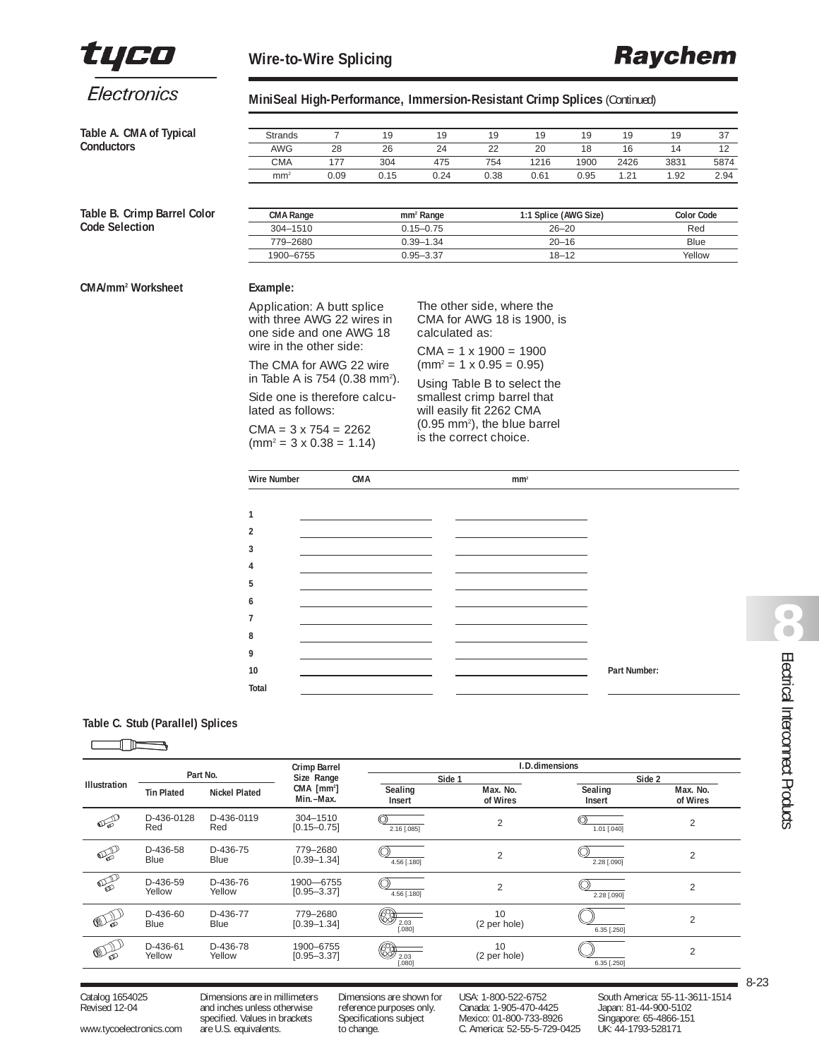lated as follows:  $CMA = 3 \times 754 = 2262$  $(mm^2 = 3 \times 0.38 = 1.14)$ 

#### **MiniSeal High-Performance, Immersion-Resistant Crimp Splices** (Continued)

| Table A. CMA of Typical       | <b>Strands</b>                                                                                                 | 7    | 19                                                                        | 19                           | 19   | 19                    | 19        | 19   | 19                | 37   |
|-------------------------------|----------------------------------------------------------------------------------------------------------------|------|---------------------------------------------------------------------------|------------------------------|------|-----------------------|-----------|------|-------------------|------|
| Conductors                    | <b>AWG</b>                                                                                                     | 28   | 26                                                                        | 24                           | 22   | 20                    | 18        | 16   | 14                | 12   |
|                               | <b>CMA</b>                                                                                                     | 177  | 304                                                                       | 475                          | 754  | 1216                  | 1900      | 2426 | 3831              | 5874 |
|                               | mm <sup>2</sup>                                                                                                | 0.09 | 0.15                                                                      | 0.24                         | 0.38 | 0.61                  | 0.95      | 1.21 | 1.92              | 2.94 |
| Table B. Crimp Barrel Color   | <b>CMA Range</b>                                                                                               |      |                                                                           | mm <sup>2</sup> Range        |      | 1:1 Splice (AWG Size) |           |      | <b>Color Code</b> |      |
| <b>Code Selection</b>         | 304-1510                                                                                                       |      |                                                                           | $0.15 - 0.75$                |      | $26 - 20$             |           |      | Red               |      |
|                               | 779-2680                                                                                                       |      |                                                                           | $0.39 - 1.34$                |      |                       | $20 - 16$ |      | <b>Blue</b>       |      |
|                               | 1900-6755                                                                                                      |      |                                                                           | $0.95 - 3.37$                |      |                       | $18 - 12$ |      | Yellow            |      |
|                               |                                                                                                                |      |                                                                           |                              |      |                       |           |      |                   |      |
| CMA/mm <sup>2</sup> Worksheet | Example:                                                                                                       |      |                                                                           |                              |      |                       |           |      |                   |      |
|                               | Application: A butt splice<br>with three AWG 22 wires in<br>one side and one AWG 18<br>wire in the other side: |      | The other side, where the<br>CMA for AWG 18 is 1900, is<br>calculated as: |                              |      |                       |           |      |                   |      |
|                               |                                                                                                                |      |                                                                           | $CMA = 1 \times 1900 = 1900$ |      |                       |           |      |                   |      |
|                               | The CMA for AWG 22 wire<br>in Table A is $754$ (0.38 mm <sup>2</sup> ).                                        |      | $(mm^2 = 1 \times 0.95 = 0.95)$                                           |                              |      |                       |           |      |                   |      |
|                               |                                                                                                                |      |                                                                           | Using Table B to select the  |      |                       |           |      |                   |      |
|                               | Side one is therefore calcu-                                                                                   |      |                                                                           | smallest crimp barrel that   |      |                       |           |      |                   |      |

| Wire Number<br><b>CMA</b> | mm <sup>2</sup>                                                                 |              |
|---------------------------|---------------------------------------------------------------------------------|--------------|
|                           |                                                                                 |              |
| 1                         |                                                                                 |              |
| 2                         |                                                                                 |              |
| 3                         |                                                                                 |              |
| 4                         |                                                                                 |              |
| 5                         |                                                                                 |              |
| 6                         |                                                                                 |              |
| 7                         |                                                                                 |              |
| 8                         |                                                                                 |              |
| 9                         |                                                                                 |              |
| 10                        |                                                                                 | Part Number: |
| Total<br>__               | the contract of the contract of the contract of the contract of the contract of |              |

will easily fit 2262 CMA  $(0.95 \text{ mm}^2)$ , the blue barrel is the correct choice.

#### **Table C. Stub (Parallel) Splices**

|                               |                         |                           | <b>Crimp Barrel</b>                   |                      | I.D.dimensions       |                     |                      |
|-------------------------------|-------------------------|---------------------------|---------------------------------------|----------------------|----------------------|---------------------|----------------------|
| <b>Illustration</b>           |                         | Part No.                  | Size Range                            |                      | Side 1               | Side 2              |                      |
|                               | <b>Tin Plated</b>       | <b>Nickel Plated</b>      | $CMA$ [mm <sup>2</sup> ]<br>Min.-Max. | Sealing<br>Insert    | Max. No.<br>of Wires | Sealing<br>Insert   | Max. No.<br>of Wires |
| $\mathbb{Z}^{\mathbb{Z}}$     | D-436-0128<br>Red       | D-436-0119<br>Red         | 304-1510<br>$[0.15 - 0.75]$           | 2.16 [.085]          | $\overline{2}$       | O)<br>$1.01$ [.040] | $\overline{2}$       |
| $\mathbb{Q}_p^{\mathbb{Z}^n}$ | D-436-58<br><b>Blue</b> | D-436-75<br><b>Blue</b>   | 779-2680<br>$[0.39 - 1.34]$           | 4.56 [.180]          | $\overline{2}$       | 2.28 [.090]         | 2                    |
| $\mathbb{Q}$                  | D-436-59<br>Yellow      | D-436-76<br>Yellow        | 1900-6755<br>$[0.95 - 3.37]$          | 4.56 [.180]          | $\overline{2}$       | 2.28 [.090]         | 2                    |
|                               | D-436-60<br><b>Blue</b> | $D-436-77$<br><b>Blue</b> | 779-2680<br>$[0.39 - 1.34]$           | ◎<br>'2.03<br>[.080] | 10<br>(2 per hole)   | 6.35 [.250]         | $\overline{2}$       |
| کہ تھ                         | D-436-61<br>Yellow      | D-436-78<br>Yellow        | 1900-6755<br>$[0.95 - 3.37]$          | ◎<br>2.03<br>[.080]  | 10<br>(2 per hole)   | 6.35 [.250]         | $\overline{2}$       |

www.tycoelectronics.com are U.S. equivalents. to change. C. America: 52-55-5-729-0425 UK: 44-1793-528171

Catalog 1654025 Dimensions are in millimeters Dimensions are shown for USA: 1-800-522-6752 South America: 55-11-3611-1514 Revised 12-04 and inches unless otherwise reference purposes only. Canada: 1-905-470-4425 Japan: 81-44-900-5102 specified. Values in brackets Specifications subject Mexico: 01-800-733-8926 Singapore: 65-4866-151

8-23

**8**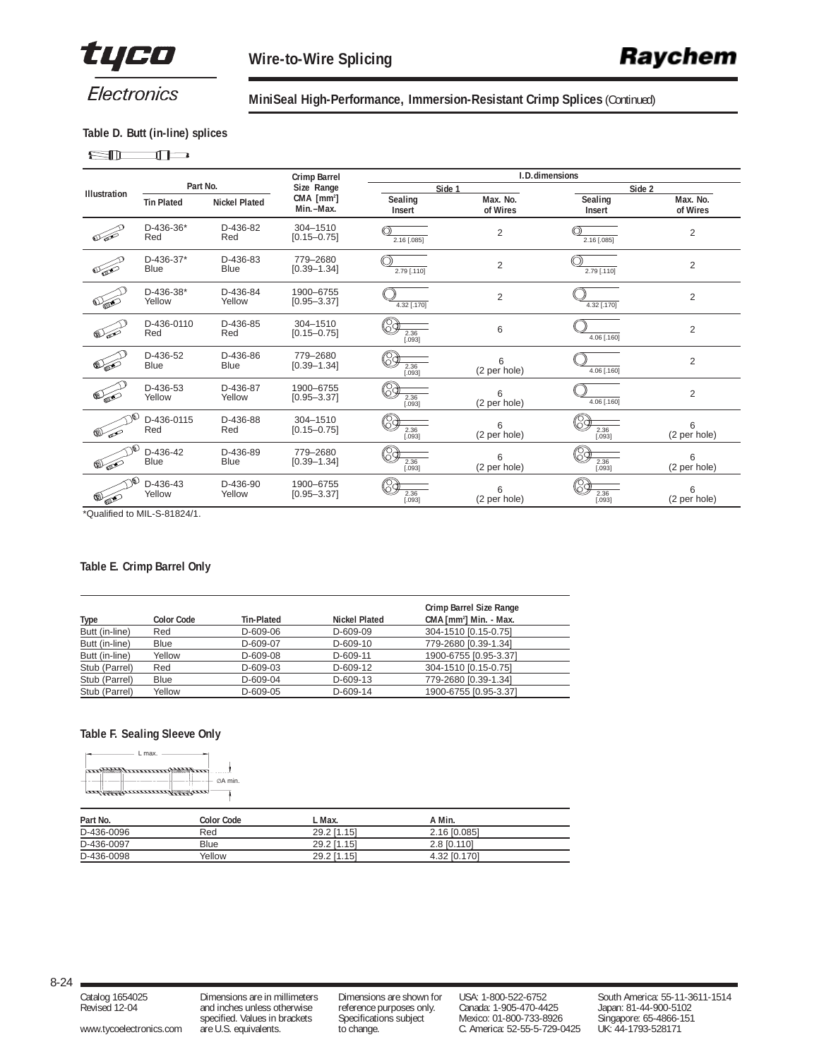## Electronics

**MiniSeal High-Performance, Immersion-Resistant Crimp Splices** (Continued)

#### **Table D. Butt (in-line) splices**

|                           |                            |                         | <b>Crimp Barrel</b>                   |                            |                      | I.D.dimensions                   |                      |
|---------------------------|----------------------------|-------------------------|---------------------------------------|----------------------------|----------------------|----------------------------------|----------------------|
|                           |                            | Part No.                | Size Range                            | Side 1                     |                      | Side 2                           |                      |
| Illustration              | <b>Tin Plated</b>          | <b>Nickel Plated</b>    | $CMA$ [mm <sup>2</sup> ]<br>Min.-Max. | Sealing<br>Insert          | Max. No.<br>of Wires | Sealing<br>Insert                | Max. No.<br>of Wires |
| DE                        | D-436-36*<br>Red           | D-436-82<br>Red         | 304-1510<br>$[0.15 - 0.75]$           | O<br>2.16 [.085]           | $\overline{2}$       | O)<br>2.16 [.085]                | $\overline{2}$       |
| DE                        | $D-436-37*$<br><b>Blue</b> | D-436-83<br><b>Blue</b> | 779-2680<br>$[0.39 - 1.34]$           | ⊙<br>2.79 [.110]           | $\overline{2}$       | ∩<br>2.79 [.110]                 | 2                    |
| $\mathbb{Q}_{\mathbb{Z}}$ | D-436-38*<br>Yellow        | D-436-84<br>Yellow      | 1900-6755<br>$[0.95 - 3.37]$          | 4.32 [.170]                | $\overline{2}$       | 4.32 [.170]                      | $\overline{2}$       |
| $\blacksquare$            | D-436-0110<br>Red          | D-436-85<br>Red         | 304-1510<br>$[0.15 - 0.75]$           | O)<br>$\frac{2.36}{0.093}$ | 6                    | 4.06 [.160]                      | 2                    |
| $\bullet$                 | D-436-52<br><b>Blue</b>    | D-436-86<br><b>Blue</b> | 779-2680<br>$[0.39 - 1.34]$           | 69<br>2.36<br>[.093]       | 6<br>(2 per hole)    | 4.06 [.160]                      | 2                    |
| $\bullet$                 | D-436-53<br>Yellow         | D-436-87<br>Yellow      | 1900-6755<br>$[0.95 - 3.37]$          | 69<br>2.36<br>[.093]       | 6<br>(2 per hole)    | 4.06 [.160]                      | 2                    |
| $\mathbb{R}$              | D-436-0115<br>Red          | D-436-88<br>Red         | 304-1510<br>$[0.15 - 0.75]$           | 69<br>2.36<br>[.093]       | 6<br>(2 per hole)    | 2.36<br>[.093]                   | 6<br>(2 per hole)    |
| ۱O<br>$\bullet$           | D-436-42<br><b>Blue</b>    | D-436-89<br><b>Blue</b> | 779-2680<br>$[0.39 - 1.34]$           | ◎<br>2.36<br>[.093]        | 6<br>(2 per hole)    | O)<br>$\frac{2.36}{0.093}$       | 6<br>(2 per hole)    |
| $\circledast$             | D-436-43<br>Yellow         | D-436-90<br>Yellow      | 1900-6755<br>$[0.95 - 3.37]$          | 69)<br>2.36<br>[.093]      | 6<br>(2 per hole)    | $\circledcirc$<br>2.36<br>[.093] | 6<br>(2 per hole)    |

\*Qualified to MIL-S-81824/1.

#### **Table E. Crimp Barrel Only**

| Type           | <b>Color Code</b> | <b>Tin-Plated</b> | <b>Nickel Plated</b> | Crimp Barrel Size Range<br>CMA [mm <sup>2</sup> ] Min. - Max. |
|----------------|-------------------|-------------------|----------------------|---------------------------------------------------------------|
| Butt (in-line) | Red               | D-609-06          | D-609-09             | 304-1510 [0.15-0.75]                                          |
| Butt (in-line) | <b>Blue</b>       | D-609-07          | D-609-10             | 779-2680 [0.39-1.34]                                          |
| Butt (in-line) | Yellow            | D-609-08          | D-609-11             | 1900-6755 [0.95-3.37]                                         |
| Stub (Parrel)  | Red               | D-609-03          | D-609-12             | 304-1510 [0.15-0.75]                                          |
| Stub (Parrel)  | <b>Blue</b>       | D-609-04          | D-609-13             | 779-2680 [0.39-1.34]                                          |
| Stub (Parrel)  | Yellow            | D-609-05          | D-609-14             | 1900-6755 [0.95-3.37]                                         |

#### **Table F. Sealing Sleeve Only**

| $L$ max. $-$ |                          |
|--------------|--------------------------|
|              |                          |
|              | ØA min.                  |
|              | $\overline{\phantom{0}}$ |

| Part No.   | <b>Color Code</b> | Max.        | A Min.       |  |
|------------|-------------------|-------------|--------------|--|
| D-436-0096 | Red               | 29.2 [1.15] | 2.16 [0.085] |  |
| D-436-0097 | Blue              | 29.2 [1.15] | 2.8 [0.110]  |  |
| D-436-0098 | Yellow            | 29.2 [1.15] | 4.32 [0.170] |  |